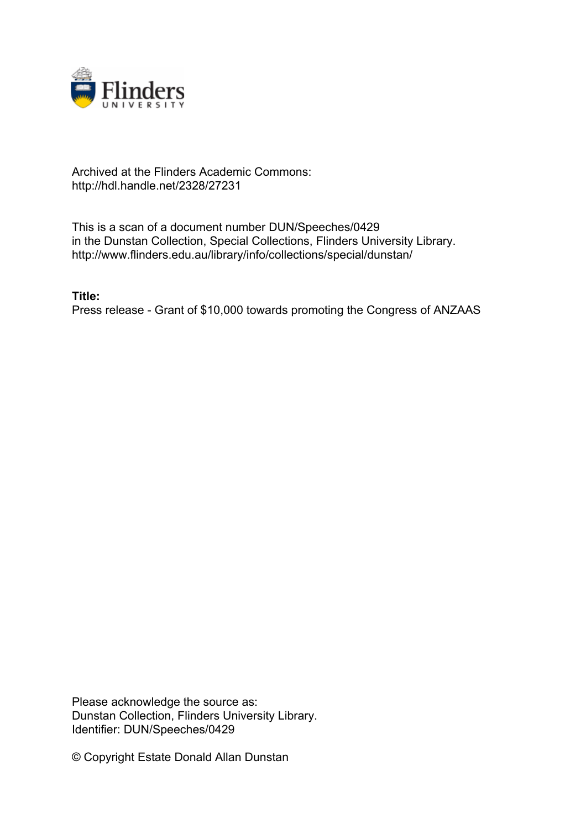

## Archived at the Flinders Academic Commons: http://hdl.handle.net/2328/27231

This is a scan of a document number DUN/Speeches/0429 in the Dunstan Collection, Special Collections, Flinders University Library. http://www.flinders.edu.au/library/info/collections/special/dunstan/

**Title:** Press release - Grant of \$10,000 towards promoting the Congress of ANZAAS

Please acknowledge the source as: Dunstan Collection, Flinders University Library. Identifier: DUN/Speeches/0429

© Copyright Estate Donald Allan Dunstan